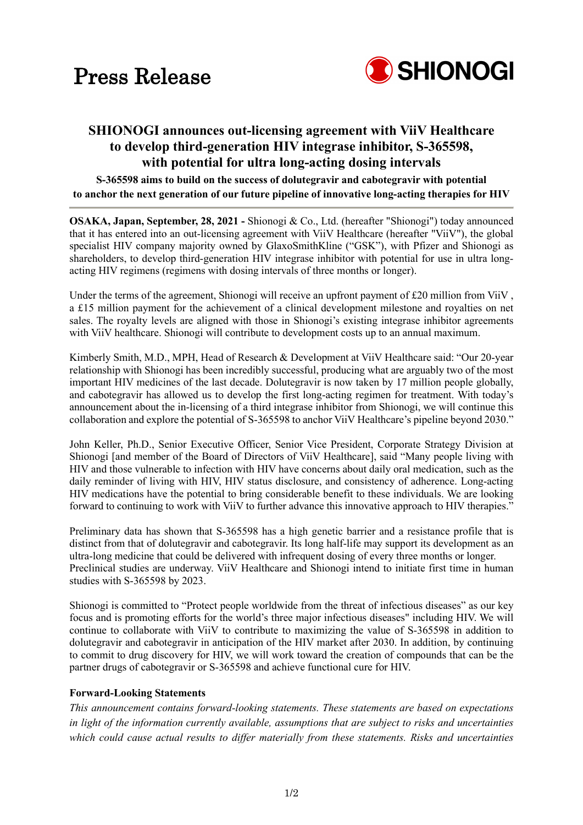

# **SHIONOGI announces out-licensing agreement with ViiV Healthcare to develop third-generation HIV integrase inhibitor, S-365598, with potential for ultra long-acting dosing intervals**

**S-365598 aims to build on the success of dolutegravir and cabotegravir with potential to anchor the next generation of our future pipeline of innovative long-acting therapies for HIV**

**OSAKA, Japan, September, 28, 2021 -** Shionogi & Co., Ltd. (hereafter "Shionogi") today announced that it has entered into an out-licensing agreement with ViiV Healthcare (hereafter "ViiV"), the global specialist HIV company majority owned by GlaxoSmithKline ("GSK"), with Pfizer and Shionogi as shareholders, to develop third-generation HIV integrase inhibitor with potential for use in ultra longacting HIV regimens (regimens with dosing intervals of three months or longer).

Under the terms of the agreement, Shionogi will receive an upfront payment of £20 million from ViiV, a £15 million payment for the achievement of a clinical development milestone and royalties on net sales. The royalty levels are aligned with those in Shionogi's existing integrase inhibitor agreements with ViiV healthcare. Shionogi will contribute to development costs up to an annual maximum.

Kimberly Smith, M.D., MPH, Head of Research & Development at ViiV Healthcare said: "Our 20-year relationship with Shionogi has been incredibly successful, producing what are arguably two of the most important HIV medicines of the last decade. Dolutegravir is now taken by 17 million people globally, and cabotegravir has allowed us to develop the first long-acting regimen for treatment. With today's announcement about the in-licensing of a third integrase inhibitor from Shionogi, we will continue this collaboration and explore the potential of S-365598 to anchor ViiV Healthcare's pipeline beyond 2030."

John Keller, Ph.D., Senior Executive Officer, Senior Vice President, Corporate Strategy Division at Shionogi [and member of the Board of Directors of ViiV Healthcare], said "Many people living with HIV and those vulnerable to infection with HIV have concerns about daily oral medication, such as the daily reminder of living with HIV, HIV status disclosure, and consistency of adherence. Long-acting HIV medications have the potential to bring considerable benefit to these individuals. We are looking forward to continuing to work with ViiV to further advance this innovative approach to HIV therapies."

Preliminary data has shown that S-365598 has a high genetic barrier and a resistance profile that is distinct from that of dolutegravir and cabotegravir. Its long half-life may support its development as an ultra-long medicine that could be delivered with infrequent dosing of every three months or longer. Preclinical studies are underway. ViiV Healthcare and Shionogi intend to initiate first time in human studies with S-365598 by 2023.

Shionogi is committed to "Protect people worldwide from the threat of infectious diseases" as our key focus and is promoting efforts for the world's three major infectious diseases" including HIV. We will continue to collaborate with ViiV to contribute to maximizing the value of S-365598 in addition to dolutegravir and cabotegravir in anticipation of the HIV market after 2030. In addition, by continuing to commit to drug discovery for HIV, we will work toward the creation of compounds that can be the partner drugs of cabotegravir or S-365598 and achieve functional cure for HIV.

## **Forward-Looking Statements**

*This announcement contains forward-looking statements. These statements are based on expectations in light of the information currently available, assumptions that are subject to risks and uncertainties which could cause actual results to differ materially from these statements. Risks and uncertainties*